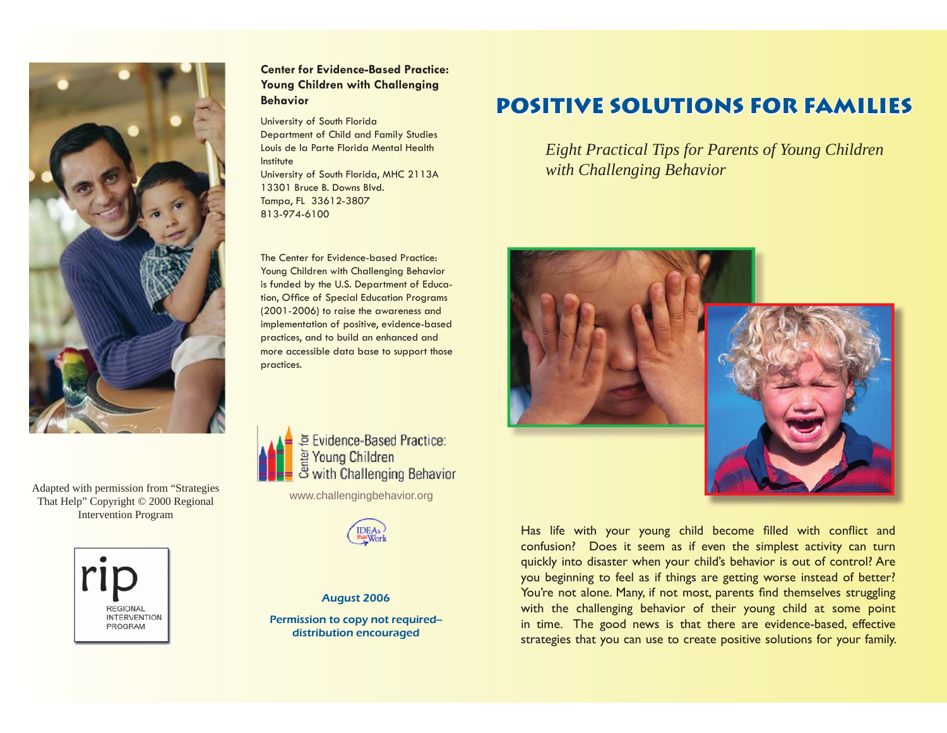

Adapted with permission from "Strategies That Help" Copyright © 2000 Regional Intervention Program



# **Center for Evidence-Based Practice: Young Children with Challenging Behavior**

University of South Florida Department of Child and Family Studies Louis de la Parte Florida Mental Health InstituteUniversity of South Florida, MHC 2113A 13301 Bruce B. Downs Blvd.Tampa, FL 33612-3807

813-974-6100

The Center for Evidence-based Practice: Young Children with Challenging Behavior is funded by the U.S. Department of Education, Office of Special Education Programs (2001-2006) to raise the awareness and implementation of positive, evidence-based practices, and to build an enhanced and more accessible data base to support those practices.



Evidence-Based Practice: Young Children with Challenging Behavior

www.challengingbehavior.org



## August 2006

Permission to copy not required- distribution encouraged

# **POSITIVE SOLUTIONS FOR FAMILIES**

*Eight Practical Tips for Parents of Young Children with Challenging Behavior*



Has life with your young child become filled with conflict and confusion? Does it seem as if even the simplest activity can turn quickly into disaster when your child's behavior is out of control? Are you beginning to feel as if things are getting worse instead of better? You're not alone. Many, if not most, parents find themselves struggling with the challenging behavior of their young child at some point in time. The good news is that there are evidence-based, effective strategies that you can use to create positive solutions for your family.